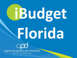# iBudget

# Florida

agency for persons with disabilities State of Florida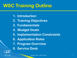#### **WSC Training Outline**

- **1. Introduction**
- **2. Training Objectives**
- **3. Fundamentals**
- **4. iBudget Goals**
- **5. Implementation Constraints**
- **6. Application Roles**
- **7. Program Overview**
- **8. Service Desk**

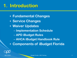#### **1. Introduction**

- **Fundamental Changes**
- **Service Changes**
- **Waiver Updates**
	- **Implementation Schedule**
	- **APD iBudget Rules**
	- **AHCA iBudget Handbook Rule**
- **Components of iBudget Florida**

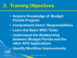### **2. Training Objectives**

- **Acquire Knowledge of iBudget Florida Program**
- **Comprehend Users' Responsibilities**
- **Learn the Basic WSC Tasks**
- **Understand the Relationship between iBudget Florida and the other APD Applications**

• **Identify Workflow Improvements**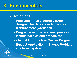#### • **Definitions**

- **Application – an electronic system designed for data collection and/or disbursement (workflow)**
- **Program – an organizational process to include policies and procedures**
- **iBudget Florida – New Waiver Program** – **iBudget Application – iBudget Florida's** 
	- **electronic system**

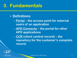#### • **Definitions**

– **Portal – the access point for external users of an application**

– **APD Connects – the portal for other APD applications** 

– **CCR (client central record) – the repository for the customer's complete record.**

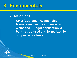#### • **Definitions**

– **CRM (Customer Relationship Management) – the software on which the iBudget application is built - structured and formalized to support workflows**



08/17/2011 iBudget Florida - WSC Training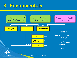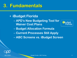- **iBudget Florida** 
	- **APD's New Budgeting Tool for Waiver Cost Plans**



- **Budget Allocation Formula**
- **Current Processes Still Apply**
- **ABC Screens vs. iBudget Screen**

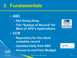#### • **ABC**

- **Not Going Away**
- **The "System of Record" for Most of APD's Applications**
- **CCR**



- **Repository for the client complete record** – **Updated Daily from ABC**
- **Access to and from iBudget**

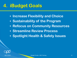#### **4. iBudget Goals**

- **Increase Flexibility and Choice**
- **Sustainability of the Program**
- **Refocus on Community Resources**
- **Streamline Review Process**
- **Spotlight Health & Safety Issues**

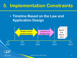#### **5. Implementation Constraints**

• **Timeline Based on the Law and Application Design**



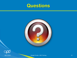





08/17/2011 iBudget Florida - WSC Training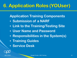**Application Training Components** 

- **Submission of a NARF**
- **Link to the Training/Testing Site**
- **User Name and Password**
- **Responsibilities in the System(s)**
- **Training Guides**
- **Service Desk**

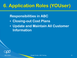**Responsibilities in ABC**

- **Closing-out Cost Plans**
- **Update and Maintain All Customer Information**

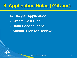**In iBudget Application**

- **Create Cost Plan**
- **Build Service Plans**
- **Submit Plan for Review**

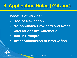#### **Benefits of iBudget**

- **Ease of Navigation**
- **Pre-populated Providers and Rates**
- **Calculations are Automatic**
- **Built-in Prompts**
- **Direct Submission to Area Office**

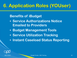#### **Benefits of iBudget**

- **Service Authorizations Notice Emailed to Providers**
- **Budget Management Tools**
- **Service Utilization Tracking**
- **Instant Caseload Status Reporting**

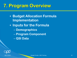#### **7. Program Overview**

- **Budget Allocation Formula Implementation**
- **Inputs for the Formula**
	- **Demographics**
	- **Program Component**
	- **QSI Data**

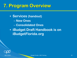#### **7. Program Overview**

• **Services (handout)** – **New Ones** – **Consolidated Ones** • **iBudget Draft Handbook is on iBudgetFlorida.org**

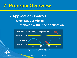#### **7. Program Overview**

• **Application Controls** – **Over Budget Alerts** – **Thresholds within the application**



**Flags = Area Office Review**

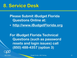#### **8. Service Desk**

**Please Submit iBudget Florida Questions Online at:**

• **http://www.iBudgetFlorida.org**

**For iBudget Florida Technical Questions (such as password resets and login issues) call (850) 488-4357 (option 3)**

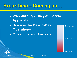#### **Break time – Coming up…**

- **Walk-through iBudget Florida Application**
- **Discuss the Day-to-Day Operations**
- **Questions and Answers**